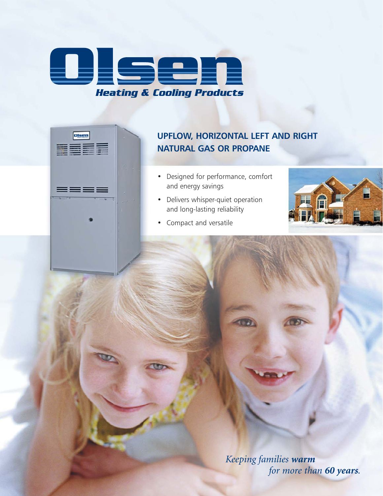

Olsen

E EL 17

▆▆▅▅

## **UPFLOW, HORIZONTAL LEFT AND RIGHT NATURAL GAS OR PROPANE**

- Designed for performance, comfort and energy savings
- Delivers whisper-quiet operation and long-lasting reliability



• Compact and versatile

*Keeping families warm for more than 60 years.*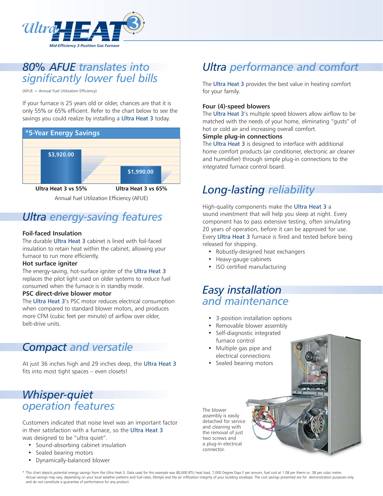

## *80% AFUE translates into significantly lower fuel bills*

(AFUE = Annual Fuel Utilization Efficiency)

If your furnace is 25 years old or older, chances are that it is only 55% or 65% efficient. Refer to the chart below to see the savings you could realize by installing a Ultra Heat 3 today.



Annual Fuel Utilization Efficiency (AFUE)

# *Ultra energy-saving features*

## **Foil-faced Insulation**

The durable Ultra Heat 3 cabinet is lined with foil-faced insulation to retain heat within the cabinet, allowing your furnace to run more efficiently.

## **Hot surface igniter**

The energy-saving, hot-surface igniter of the Ultra Heat 3 replaces the pilot light used on older systems to reduce fuel consumed when the furnace is in standby mode.

### **PSC direct-drive blower motor**

The Ultra Heat 3's PSC motor reduces electrical consumption when compared to standard blower motors, and produces more CFM (cubic feet per minute) of airflow over older, belt-drive units.

## *Compact and versatile*

At just 36 inches high and 29 inches deep, the Ultra Heat 3 fits into most tight spaces – even closets!

# *Whisper-quiet operation features*

Customers indicated that noise level was an important factor in their satisfaction with a furnace, so the Ultra Heat 3 was designed to be "ultra quiet".

- Sound-absorbing cabinet insulation
- Sealed bearing motors
- Dynamically-balanced blower

# *Ultra performance and comfort*

The Ultra Heat 3 provides the best value in heating comfort for your family.

## **Four (4)-speed blowers**

The Ultra Heat 3's multiple speed blowers allow airflow to be matched with the needs of your home, eliminating "gusts" of hot or cold air and increasing overall comfort.

### **Simple plug-in connections**

The Ultra Heat 3 is designed to interface with additional home comfort products (air conditioner, electronic air cleaner and humidifier) through simple plug-in connections to the integrated furnace control board.

# *Long-lasting reliability*

High-quality components make the Ultra Heat 3 a sound investment that will help you sleep at night. Every component has to pass extensive testing, often simulating 20 years of operation, before it can be approved for use. Every Ultra Heat 3 furnace is fired and tested before being released for shipping.

- Robustly-designed heat exchangers
- Heavy-gauge cabinets
- ISO certified manufacturing

# *Easy installation and maintenance*

- 3-position installation options
- Removable blower assembly
- Self-diagnostic integrated furnace control
- Multiple gas pipe and electrical connections
- Sealed bearing motors

The blower assembly is easily detached for service and cleaning with the removal of just two screws and a plug-in electrical connector.

\* This chart depicts potential energy savings from the Ultra Heat 3. Data used for this example was 80,000 BTU heat load, 7,000 Degree Days F per annum, fuel cost at 1.08 per therm or .38 per cubic metre. Actual savings may vary, depending on your local weather patterns and fuel rates, lifestyle and the air infiltration integrity of your building envelope. The cost savings presented are for demonstration purposes only and do not constitute a guarantee of performance for any product.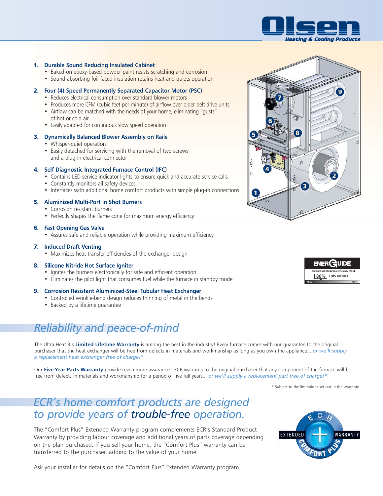

#### 1. **Durable Sound Reducing Insulated Cabinet**

- Baked-on epoxy-based powder paint resists scratching and corrosion
- Sound-absorbing foil-faced insulation retains heat and quiets operation

#### 2. **Four (4)-Speed Permanently Separated Capacitor Motor (PSC)**

- Reduces electrical consumption over standard blower motors
- Produces more CFM (cubic feet per minute) of airflow over older belt drive units
- Airflow can be matched with the needs of your home, eliminating "gusts" of hot or cold air
- Easily adapted for continuous slow speed operation

#### 3. **Dynamically Balanced Blower Assembly on Rails**

- Whisper-quiet operation
- Easily detached for servicing with the removal of two screws and a plug-in electrical connector

#### 4. **Self Diagnostic Integrated Furnace Control (IFC)**

- Contains LED service indicator lights to ensure quick and accurate service calls
- Constantly monitors all safety devices
- Interfaces with additional home comfort products with simple plug-in connections

#### 5. **Aluminized Multi-Port in Shot Burners**

- Corrosion resistant burners
- Perfectly shapes the flame cone for maximum energy efficiency

#### 6. **Fast Opening Gas Valve**

• Assures safe and reliable operation while providing maximum efficiency

#### 7. **Induced Draft Venting**

• Maximizes heat transfer efficiencies of the exchanger design

#### 8. **Silicone Nitride Hot Surface Igniter**

- Ignites the burners electronically for safe and efficient operation
- Eliminates the pilot light that consumes fuel while the furnace in standby mode

#### 9. **Corrosion Resistant Aluminized-Steel Tubular Heat Exchanger**

- Controlled wrinkle-bend design reduces thinning of metal in the bends
- Backed by a lifetime guarantee

# *Reliability and peace-of-mind*

The Ultra Heat 3's **Limited Lifetime Warranty** is among the best in the industry! Every furnace comes with our guarantee to the original purchaser that the heat exchanger will be free from defects in materials and workmanship as long as you own the appliance... *or we'll supply a replacement heat exchanger free of charge!\**

Our **Five-Year Parts Warranty** provides even more assurances. ECR warrants to the original purchaser that any component of the furnace will be free from defects in materials and workmanship for a period of five full years... *or we'll supply a replacement part free of charge!\**

\* Subject to the limitations set out in the warranty.

## *ECR's home comfort products are designed to provide years of trouble-free operation.*

The "Comfort Plus" Extended Warranty program complements ECR's Standard Product Warranty by providing labour coverage and additional years of parts coverage depending on the plan purchased. If you sell your home, the "Comfort Plus" warranty can be transferred to the purchaser, adding to the value of your home.



Ask your installer for details on the "Comfort Plus" Extended Warranty program.